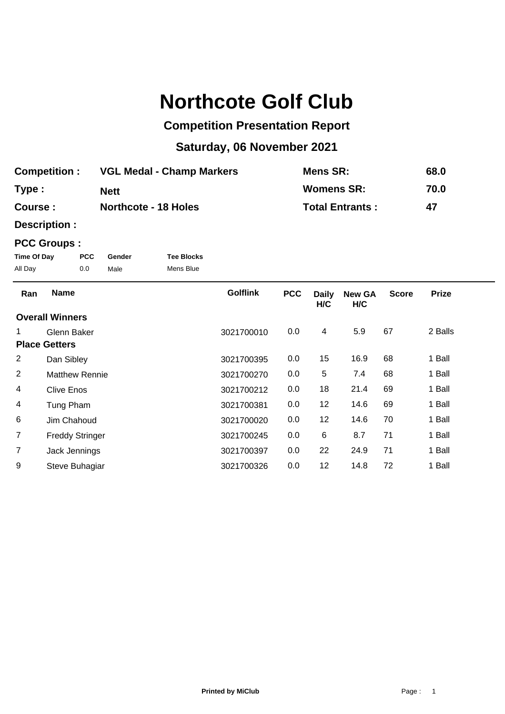## **Northcote Golf Club**

## **Competition Presentation Report**

## **Saturday, 06 November 2021**

| <b>Competition:</b> | <b>VGL Medal - Champ Markers</b> | Mens SR:               | 68.0 |
|---------------------|----------------------------------|------------------------|------|
| Type:               | <b>Nett</b>                      | <b>Womens SR:</b>      | 70.0 |
| Course :            | <b>Northcote - 18 Holes</b>      | <b>Total Entrants:</b> | 47   |

**Description :**

## **PCC Groups :**

| Time Of Day | <b>PCC</b> | Gender | <b>Tee Blocks</b> |
|-------------|------------|--------|-------------------|
| All Day     | 0.0        | Male   | Mens Blue         |

| Ran                  | <b>Name</b>            | <b>Golflink</b> | <b>PCC</b> | <b>Daily</b><br>H/C | <b>New GA</b><br>H/C | <b>Score</b> | <b>Prize</b> |
|----------------------|------------------------|-----------------|------------|---------------------|----------------------|--------------|--------------|
|                      | <b>Overall Winners</b> |                 |            |                     |                      |              |              |
|                      | Glenn Baker            | 3021700010      | 0.0        | 4                   | 5.9                  | 67           | 2 Balls      |
| <b>Place Getters</b> |                        |                 |            |                     |                      |              |              |
| $\overline{2}$       | Dan Sibley             | 3021700395      | 0.0        | 15                  | 16.9                 | 68           | 1 Ball       |
| $\overline{2}$       | <b>Matthew Rennie</b>  | 3021700270      | 0.0        | 5                   | 7.4                  | 68           | 1 Ball       |
| 4                    | <b>Clive Enos</b>      | 3021700212      | 0.0        | 18                  | 21.4                 | 69           | 1 Ball       |
| 4                    | Tung Pham              | 3021700381      | 0.0        | 12                  | 14.6                 | 69           | 1 Ball       |
| 6                    | Jim Chahoud            | 3021700020      | 0.0        | 12                  | 14.6                 | 70           | 1 Ball       |
| $\overline{7}$       | <b>Freddy Stringer</b> | 3021700245      | 0.0        | 6                   | 8.7                  | 71           | 1 Ball       |
| $\overline{7}$       | Jack Jennings          | 3021700397      | 0.0        | 22                  | 24.9                 | 71           | 1 Ball       |
| 9                    | Steve Buhagiar         | 3021700326      | 0.0        | 12                  | 14.8                 | 72           | 1 Ball       |